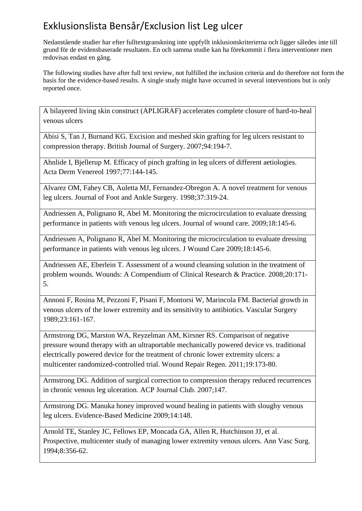Nedanstående studier har efter fulltextgranskning inte uppfyllt inklusionskriterierna och ligger således inte till grund för de evidensbaserade resultaten. En och samma studie kan ha förekommit i flera interventioner men redovisas endast en gång.

The following studies have after full text review, not fulfilled the inclusion criteria and do therefore not form the basis for the evidence-based results. A single study might have occurred in several interventions but is only reported once.

A bilayered living skin construct (APLIGRAF) accelerates complete closure of hard-to-heal venous ulcers

Abisi S, Tan J, Burnand KG. Excision and meshed skin grafting for leg ulcers resistant to compression therapy. British Journal of Surgery. 2007;94:194-7.

Ahnlide I, Bjellerup M. Efficacy of pinch grafting in leg ulcers of different aetiologies. Acta Derm Venereol 1997;77:144-145.

Alvarez OM, Fahey CB, Auletta MJ, Fernandez-Obregon A. A novel treatment for venous leg ulcers. Journal of Foot and Ankle Surgery. 1998;37:319-24.

Andriessen A, Polignano R, Abel M. Monitoring the microcirculation to evaluate dressing performance in patients with venous leg ulcers. Journal of wound care. 2009;18:145-6.

Andriessen A, Polignano R, Abel M. Monitoring the microcirculation to evaluate dressing performance in patients with venous leg ulcers. J Wound Care 2009;18:145-6.

Andriessen AE, Eberlein T. Assessment of a wound cleansing solution in the treatment of problem wounds. Wounds: A Compendium of Clinical Research & Practice. 2008;20:171- 5.

Annoni F, Rosina M, Pezzoni F, Pisani F, Montorsi W, Marincola FM. Bacterial growth in venous ulcers of the lower extremity and its sensitivity to antibiotics. Vascular Surgery 1989;23:161-167.

Armstrong DG, Marston WA, Reyzelman AM, Kirsner RS. Comparison of negative pressure wound therapy with an ultraportable mechanically powered device vs. traditional electrically powered device for the treatment of chronic lower extremity ulcers: a multicenter randomized-controlled trial. Wound Repair Regen. 2011;19:173-80.

Armstrong DG. Addition of surgical correction to compression therapy reduced recurrences in chronic venous leg ulceration. ACP Journal Club. 2007;147.

Armstrong DG. Manuka honey improved wound healing in patients with sloughy venous leg ulcers. Evidence-Based Medicine 2009;14:148.

Arnold TE, Stanley JC, Fellows EP, Moncada GA, Allen R, Hutchinson JJ, et al. Prospective, multicenter study of managing lower extremity venous ulcers. Ann Vasc Surg. 1994;8:356-62.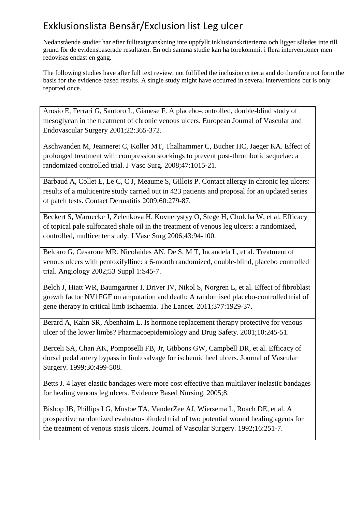Nedanstående studier har efter fulltextgranskning inte uppfyllt inklusionskriterierna och ligger således inte till grund för de evidensbaserade resultaten. En och samma studie kan ha förekommit i flera interventioner men redovisas endast en gång.

The following studies have after full text review, not fulfilled the inclusion criteria and do therefore not form the basis for the evidence-based results. A single study might have occurred in several interventions but is only reported once.

Arosio E, Ferrari G, Santoro L, Gianese F. A placebo-controlled, double-blind study of mesoglycan in the treatment of chronic venous ulcers. European Journal of Vascular and Endovascular Surgery 2001;22:365-372.

Aschwanden M, Jeanneret C, Koller MT, Thalhammer C, Bucher HC, Jaeger KA. Effect of prolonged treatment with compression stockings to prevent post-thrombotic sequelae: a randomized controlled trial. J Vasc Surg. 2008;47:1015-21.

Barbaud A, Collet E, Le C, C J, Meaume S, Gillois P. Contact allergy in chronic leg ulcers: results of a multicentre study carried out in 423 patients and proposal for an updated series of patch tests. Contact Dermatitis 2009;60:279-87.

Beckert S, Warnecke J, Zelenkova H, Kovnerystyy O, Stege H, Cholcha W, et al. Efficacy of topical pale sulfonated shale oil in the treatment of venous leg ulcers: a randomized, controlled, multicenter study. J Vasc Surg 2006;43:94-100.

Belcaro G, Cesarone MR, Nicolaides AN, De S, M T, Incandela L, et al. Treatment of venous ulcers with pentoxifylline: a 6-month randomized, double-blind, placebo controlled trial. Angiology 2002;53 Suppl 1:S45-7.

Belch J, Hiatt WR, Baumgartner I, Driver IV, Nikol S, Norgren L, et al. Effect of fibroblast growth factor NV1FGF on amputation and death: A randomised placebo-controlled trial of gene therapy in critical limb ischaemia. The Lancet. 2011;377:1929-37.

Berard A, Kahn SR, Abenhaim L. Is hormone replacement therapy protective for venous ulcer of the lower limbs? Pharmacoepidemiology and Drug Safety. 2001;10:245-51.

Berceli SA, Chan AK, Pomposelli FB, Jr, Gibbons GW, Campbell DR, et al. Efficacy of dorsal pedal artery bypass in limb salvage for ischemic heel ulcers. Journal of Vascular Surgery. 1999;30:499-508.

Betts J. 4 layer elastic bandages were more cost effective than multilayer inelastic bandages for healing venous leg ulcers. Evidence Based Nursing. 2005;8.

Bishop JB, Phillips LG, Mustoe TA, VanderZee AJ, Wiersema L, Roach DE, et al. A prospective randomized evaluator-blinded trial of two potential wound healing agents for the treatment of venous stasis ulcers. Journal of Vascular Surgery. 1992;16:251-7.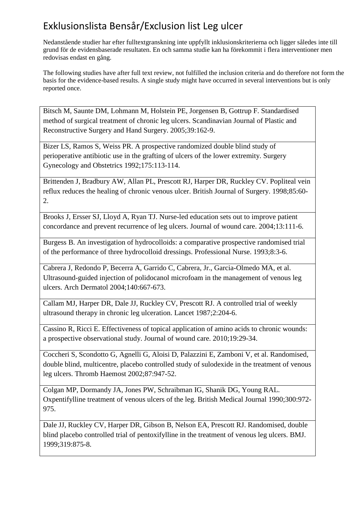Nedanstående studier har efter fulltextgranskning inte uppfyllt inklusionskriterierna och ligger således inte till grund för de evidensbaserade resultaten. En och samma studie kan ha förekommit i flera interventioner men redovisas endast en gång.

The following studies have after full text review, not fulfilled the inclusion criteria and do therefore not form the basis for the evidence-based results. A single study might have occurred in several interventions but is only reported once.

Bitsch M, Saunte DM, Lohmann M, Holstein PE, Jorgensen B, Gottrup F. Standardised method of surgical treatment of chronic leg ulcers. Scandinavian Journal of Plastic and Reconstructive Surgery and Hand Surgery. 2005;39:162-9.

Bizer LS, Ramos S, Weiss PR. A prospective randomized double blind study of perioperative antibiotic use in the grafting of ulcers of the lower extremity. Surgery Gynecology and Obstetrics 1992;175:113-114.

Brittenden J, Bradbury AW, Allan PL, Prescott RJ, Harper DR, Ruckley CV. Popliteal vein reflux reduces the healing of chronic venous ulcer. British Journal of Surgery. 1998;85:60- 2.

Brooks J, Ersser SJ, Lloyd A, Ryan TJ. Nurse-led education sets out to improve patient concordance and prevent recurrence of leg ulcers. Journal of wound care. 2004;13:111-6.

Burgess B. An investigation of hydrocolloids: a comparative prospective randomised trial of the performance of three hydrocolloid dressings. Professional Nurse. 1993;8:3-6.

Cabrera J, Redondo P, Becerra A, Garrido C, Cabrera, Jr., Garcia-Olmedo MA, et al. Ultrasound-guided injection of polidocanol microfoam in the management of venous leg ulcers. Arch Dermatol 2004;140:667-673.

Callam MJ, Harper DR, Dale JJ, Ruckley CV, Prescott RJ. A controlled trial of weekly ultrasound therapy in chronic leg ulceration. Lancet 1987;2:204-6.

Cassino R, Ricci E. Effectiveness of topical application of amino acids to chronic wounds: a prospective observational study. Journal of wound care. 2010;19:29-34.

Coccheri S, Scondotto G, Agnelli G, Aloisi D, Palazzini E, Zamboni V, et al. Randomised, double blind, multicentre, placebo controlled study of sulodexide in the treatment of venous leg ulcers. Thromb Haemost 2002;87:947-52.

Colgan MP, Dormandy JA, Jones PW, Schraibman IG, Shanik DG, Young RAL. Oxpentifylline treatment of venous ulcers of the leg. British Medical Journal 1990;300:972- 975.

Dale JJ, Ruckley CV, Harper DR, Gibson B, Nelson EA, Prescott RJ. Randomised, double blind placebo controlled trial of pentoxifylline in the treatment of venous leg ulcers. BMJ. 1999;319:875-8.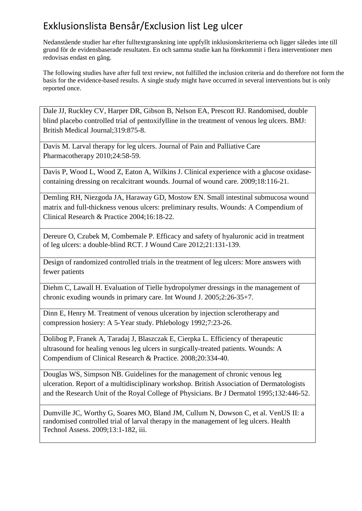Nedanstående studier har efter fulltextgranskning inte uppfyllt inklusionskriterierna och ligger således inte till grund för de evidensbaserade resultaten. En och samma studie kan ha förekommit i flera interventioner men redovisas endast en gång.

The following studies have after full text review, not fulfilled the inclusion criteria and do therefore not form the basis for the evidence-based results. A single study might have occurred in several interventions but is only reported once.

Dale JJ, Ruckley CV, Harper DR, Gibson B, Nelson EA, Prescott RJ. Randomised, double blind placebo controlled trial of pentoxifylline in the treatment of venous leg ulcers. BMJ: British Medical Journal;319:875-8.

Davis M. Larval therapy for leg ulcers. Journal of Pain and Palliative Care Pharmacotherapy 2010;24:58-59.

Davis P, Wood L, Wood Z, Eaton A, Wilkins J. Clinical experience with a glucose oxidasecontaining dressing on recalcitrant wounds. Journal of wound care. 2009;18:116-21.

Demling RH, Niezgoda JA, Haraway GD, Mostow EN. Small intestinal submucosa wound matrix and full-thickness venous ulcers: preliminary results. Wounds: A Compendium of Clinical Research & Practice 2004;16:18-22.

Dereure O, Czubek M, Combemale P. Efficacy and safety of hyaluronic acid in treatment of leg ulcers: a double-blind RCT. J Wound Care 2012;21:131-139.

Design of randomized controlled trials in the treatment of leg ulcers: More answers with fewer patients

Diehm C, Lawall H. Evaluation of Tielle hydropolymer dressings in the management of chronic exuding wounds in primary care. Int Wound J. 2005;2:26-35+7.

Dinn E, Henry M. Treatment of venous ulceration by injection sclerotherapy and compression hosiery: A 5-Year study. Phlebology 1992;7:23-26.

Dolibog P, Franek A, Taradaj J, Blaszczak E, Cierpka L. Efficiency of therapeutic ultrasound for healing venous leg ulcers in surgically-treated patients. Wounds: A Compendium of Clinical Research & Practice. 2008;20:334-40.

Douglas WS, Simpson NB. Guidelines for the management of chronic venous leg ulceration. Report of a multidisciplinary workshop. British Association of Dermatologists and the Research Unit of the Royal College of Physicians. Br J Dermatol 1995;132:446-52.

Dumville JC, Worthy G, Soares MO, Bland JM, Cullum N, Dowson C, et al. VenUS II: a randomised controlled trial of larval therapy in the management of leg ulcers. Health Technol Assess. 2009;13:1-182, iii.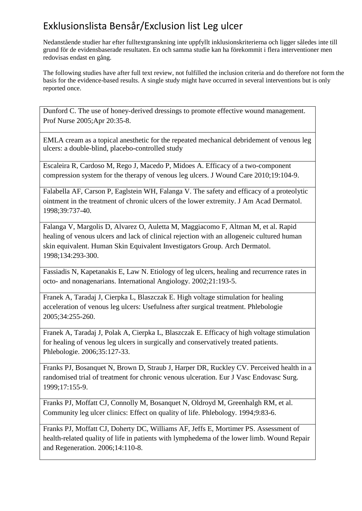Nedanstående studier har efter fulltextgranskning inte uppfyllt inklusionskriterierna och ligger således inte till grund för de evidensbaserade resultaten. En och samma studie kan ha förekommit i flera interventioner men redovisas endast en gång.

The following studies have after full text review, not fulfilled the inclusion criteria and do therefore not form the basis for the evidence-based results. A single study might have occurred in several interventions but is only reported once.

Dunford C. The use of honey-derived dressings to promote effective wound management. Prof Nurse 2005;Apr 20:35-8.

EMLA cream as a topical anesthetic for the repeated mechanical debridement of venous leg ulcers: a double-blind, placebo-controlled study

Escaleira R, Cardoso M, Rego J, Macedo P, Midoes A. Efficacy of a two-component compression system for the therapy of venous leg ulcers. J Wound Care 2010;19:104-9.

Falabella AF, Carson P, Eaglstein WH, Falanga V. The safety and efficacy of a proteolytic ointment in the treatment of chronic ulcers of the lower extremity. J Am Acad Dermatol. 1998;39:737-40.

Falanga V, Margolis D, Alvarez O, Auletta M, Maggiacomo F, Altman M, et al. Rapid healing of venous ulcers and lack of clinical rejection with an allogeneic cultured human skin equivalent. Human Skin Equivalent Investigators Group. Arch Dermatol. 1998;134:293-300.

Fassiadis N, Kapetanakis E, Law N. Etiology of leg ulcers, healing and recurrence rates in octo- and nonagenarians. International Angiology. 2002;21:193-5.

Franek A, Taradaj J, Cierpka L, Blaszczak E. High voltage stimulation for healing acceleration of venous leg ulcers: Usefulness after surgical treatment. Phlebologie 2005;34:255-260.

Franek A, Taradaj J, Polak A, Cierpka L, Blaszczak E. Efficacy of high voltage stimulation for healing of venous leg ulcers in surgically and conservatively treated patients. Phlebologie. 2006;35:127-33.

Franks PJ, Bosanquet N, Brown D, Straub J, Harper DR, Ruckley CV. Perceived health in a randomised trial of treatment for chronic venous ulceration. Eur J Vasc Endovasc Surg. 1999;17:155-9.

Franks PJ, Moffatt CJ, Connolly M, Bosanquet N, Oldroyd M, Greenhalgh RM, et al. Community leg ulcer clinics: Effect on quality of life. Phlebology. 1994;9:83-6.

Franks PJ, Moffatt CJ, Doherty DC, Williams AF, Jeffs E, Mortimer PS. Assessment of health-related quality of life in patients with lymphedema of the lower limb. Wound Repair and Regeneration. 2006;14:110-8.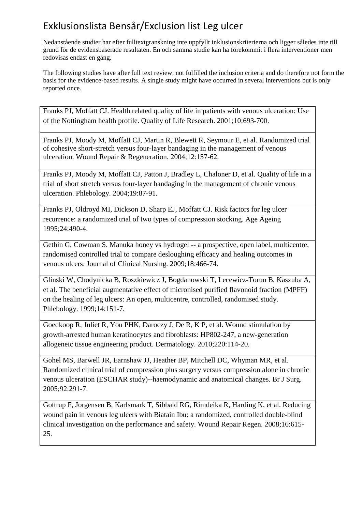Nedanstående studier har efter fulltextgranskning inte uppfyllt inklusionskriterierna och ligger således inte till grund för de evidensbaserade resultaten. En och samma studie kan ha förekommit i flera interventioner men redovisas endast en gång.

The following studies have after full text review, not fulfilled the inclusion criteria and do therefore not form the basis for the evidence-based results. A single study might have occurred in several interventions but is only reported once.

Franks PJ, Moffatt CJ. Health related quality of life in patients with venous ulceration: Use of the Nottingham health profile. Quality of Life Research. 2001;10:693-700.

Franks PJ, Moody M, Moffatt CJ, Martin R, Blewett R, Seymour E, et al. Randomized trial of cohesive short-stretch versus four-layer bandaging in the management of venous ulceration. Wound Repair & Regeneration. 2004;12:157-62.

Franks PJ, Moody M, Moffatt CJ, Patton J, Bradley L, Chaloner D, et al. Quality of life in a trial of short stretch versus four-layer bandaging in the management of chronic venous ulceration. Phlebology. 2004;19:87-91.

Franks PJ, Oldroyd MI, Dickson D, Sharp EJ, Moffatt CJ. Risk factors for leg ulcer recurrence: a randomized trial of two types of compression stocking. Age Ageing 1995;24:490-4.

Gethin G, Cowman S. Manuka honey vs hydrogel -- a prospective, open label, multicentre, randomised controlled trial to compare desloughing efficacy and healing outcomes in venous ulcers. Journal of Clinical Nursing. 2009;18:466-74.

Glinski W, Chodynicka B, Roszkiewicz J, Bogdanowski T, Lecewicz-Torun B, Kaszuba A, et al. The beneficial augmentative effect of micronised purified flavonoid fraction (MPFF) on the healing of leg ulcers: An open, multicentre, controlled, randomised study. Phlebology. 1999;14:151-7.

Goedkoop R, Juliet R, You PHK, Daroczy J, De R, K P, et al. Wound stimulation by growth-arrested human keratinocytes and fibroblasts: HP802-247, a new-generation allogeneic tissue engineering product. Dermatology. 2010;220:114-20.

Gohel MS, Barwell JR, Earnshaw JJ, Heather BP, Mitchell DC, Whyman MR, et al. Randomized clinical trial of compression plus surgery versus compression alone in chronic venous ulceration (ESCHAR study)--haemodynamic and anatomical changes. Br J Surg. 2005;92:291-7.

Gottrup F, Jorgensen B, Karlsmark T, Sibbald RG, Rimdeika R, Harding K, et al. Reducing wound pain in venous leg ulcers with Biatain Ibu: a randomized, controlled double-blind clinical investigation on the performance and safety. Wound Repair Regen. 2008;16:615- 25.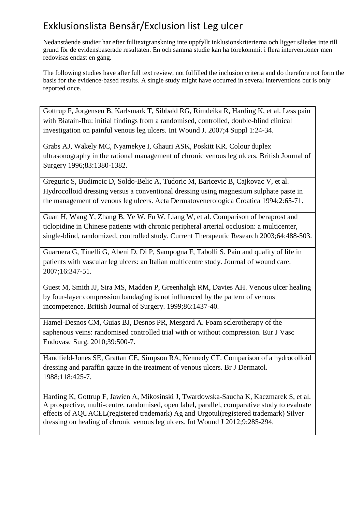Nedanstående studier har efter fulltextgranskning inte uppfyllt inklusionskriterierna och ligger således inte till grund för de evidensbaserade resultaten. En och samma studie kan ha förekommit i flera interventioner men redovisas endast en gång.

The following studies have after full text review, not fulfilled the inclusion criteria and do therefore not form the basis for the evidence-based results. A single study might have occurred in several interventions but is only reported once.

Gottrup F, Jorgensen B, Karlsmark T, Sibbald RG, Rimdeika R, Harding K, et al. Less pain with Biatain-Ibu: initial findings from a randomised, controlled, double-blind clinical investigation on painful venous leg ulcers. Int Wound J. 2007;4 Suppl 1:24-34.

Grabs AJ, Wakely MC, Nyamekye I, Ghauri ASK, Poskitt KR. Colour duplex ultrasonography in the rational management of chronic venous leg ulcers. British Journal of Surgery 1996;83:1380-1382.

Greguric S, Budimcic D, Soldo-Belic A, Tudoric M, Baricevic B, Cajkovac V, et al. Hydrocolloid dressing versus a conventional dressing using magnesium sulphate paste in the management of venous leg ulcers. Acta Dermatovenerologica Croatica 1994;2:65-71.

Guan H, Wang Y, Zhang B, Ye W, Fu W, Liang W, et al. Comparison of beraprost and ticlopidine in Chinese patients with chronic peripheral arterial occlusion: a multicenter, single-blind, randomized, controlled study. Current Therapeutic Research 2003;64:488-503.

Guarnera G, Tinelli G, Abeni D, Di P, Sampogna F, Tabolli S. Pain and quality of life in patients with vascular leg ulcers: an Italian multicentre study. Journal of wound care. 2007;16:347-51.

Guest M, Smith JJ, Sira MS, Madden P, Greenhalgh RM, Davies AH. Venous ulcer healing by four-layer compression bandaging is not influenced by the pattern of venous incompetence. British Journal of Surgery. 1999;86:1437-40.

Hamel-Desnos CM, Guias BJ, Desnos PR, Mesgard A. Foam sclerotherapy of the saphenous veins: randomised controlled trial with or without compression. Eur J Vasc Endovasc Surg. 2010;39:500-7.

Handfield-Jones SE, Grattan CE, Simpson RA, Kennedy CT. Comparison of a hydrocolloid dressing and paraffin gauze in the treatment of venous ulcers. Br J Dermatol. 1988;118:425-7.

Harding K, Gottrup F, Jawien A, Mikosinski J, Twardowska-Saucha K, Kaczmarek S, et al. A prospective, multi-centre, randomised, open label, parallel, comparative study to evaluate effects of AQUACEL(registered trademark) Ag and Urgotul(registered trademark) Silver dressing on healing of chronic venous leg ulcers. Int Wound J 2012;9:285-294.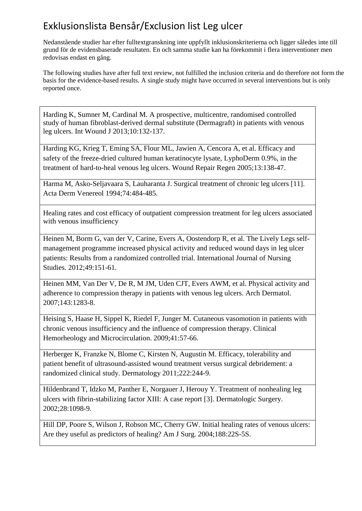Nedanstående studier har efter fulltextgranskning inte uppfyllt inklusionskriterierna och ligger således inte till grund för de evidensbaserade resultaten. En och samma studie kan ha förekommit i flera interventioner men redovisas endast en gång.

The following studies have after full text review, not fulfilled the inclusion criteria and do therefore not form the basis for the evidence-based results. A single study might have occurred in several interventions but is only reported once.

Harding K, Sumner M, Cardinal M. A prospective, multicentre, randomised controlled study of human fibroblast-derived dermal substitute (Dermagraft) in patients with venous leg ulcers. Int Wound J 2013;10:132-137.

Harding KG, Krieg T, Eming SA, Flour ML, Jawien A, Cencora A, et al. Efficacy and safety of the freeze-dried cultured human keratinocyte lysate, LyphoDerm 0.9%, in the treatment of hard-to-heal venous leg ulcers. Wound Repair Regen 2005;13:138-47.

Harma M, Asko-Seljavaara S, Lauharanta J. Surgical treatment of chronic leg ulcers [11]. Acta Derm Venereol 1994;74:484-485.

Healing rates and cost efficacy of outpatient compression treatment for leg ulcers associated with venous insufficiency

Heinen M, Borm G, van der V, Carine, Evers A, Oostendorp R, et al. The Lively Legs selfmanagement programme increased physical activity and reduced wound days in leg ulcer patients: Results from a randomized controlled trial. International Journal of Nursing Studies. 2012;49:151-61.

Heinen MM, Van Der V, De R, M JM, Uden CJT, Evers AWM, et al. Physical activity and adherence to compression therapy in patients with venous leg ulcers. Arch Dermatol. 2007;143:1283-8.

Heising S, Haase H, Sippel K, Riedel F, Junger M. Cutaneous vasomotion in patients with chronic venous insufficiency and the influence of compression therapy. Clinical Hemorheology and Microcirculation. 2009;41:57-66.

Herberger K, Franzke N, Blome C, Kirsten N, Augustin M. Efficacy, tolerability and patient benefit of ultrasound-assisted wound treatment versus surgical debridement: a randomized clinical study. Dermatology 2011;222:244-9.

Hildenbrand T, Idzko M, Panther E, Norgauer J, Herouy Y. Treatment of nonhealing leg ulcers with fibrin-stabilizing factor XIII: A case report [3]. Dermatologic Surgery. 2002;28:1098-9.

Hill DP, Poore S, Wilson J, Robson MC, Cherry GW. Initial healing rates of venous ulcers: Are they useful as predictors of healing? Am J Surg. 2004;188:22S-5S.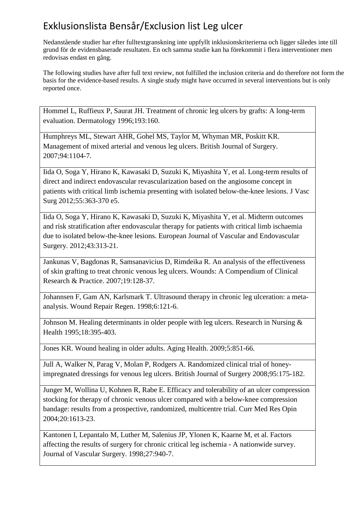Nedanstående studier har efter fulltextgranskning inte uppfyllt inklusionskriterierna och ligger således inte till grund för de evidensbaserade resultaten. En och samma studie kan ha förekommit i flera interventioner men redovisas endast en gång.

The following studies have after full text review, not fulfilled the inclusion criteria and do therefore not form the basis for the evidence-based results. A single study might have occurred in several interventions but is only reported once.

Hommel L, Ruffieux P, Saurat JH. Treatment of chronic leg ulcers by grafts: A long-term evaluation. Dermatology 1996;193:160.

Humphreys ML, Stewart AHR, Gohel MS, Taylor M, Whyman MR, Poskitt KR. Management of mixed arterial and venous leg ulcers. British Journal of Surgery. 2007;94:1104-7.

Iida O, Soga Y, Hirano K, Kawasaki D, Suzuki K, Miyashita Y, et al. Long-term results of direct and indirect endovascular revascularization based on the angiosome concept in patients with critical limb ischemia presenting with isolated below-the-knee lesions. J Vasc Surg 2012;55:363-370 e5.

Iida O, Soga Y, Hirano K, Kawasaki D, Suzuki K, Miyashita Y, et al. Midterm outcomes and risk stratification after endovascular therapy for patients with critical limb ischaemia due to isolated below-the-knee lesions. European Journal of Vascular and Endovascular Surgery. 2012;43:313-21.

Jankunas V, Bagdonas R, Samsanavicius D, Rimdeika R. An analysis of the effectiveness of skin grafting to treat chronic venous leg ulcers. Wounds: A Compendium of Clinical Research & Practice. 2007;19:128-37.

Johannsen F, Gam AN, Karlsmark T. Ultrasound therapy in chronic leg ulceration: a metaanalysis. Wound Repair Regen. 1998;6:121-6.

Johnson M. Healing determinants in older people with leg ulcers. Research in Nursing & Health 1995;18:395-403.

Jones KR. Wound healing in older adults. Aging Health. 2009;5:851-66.

Jull A, Walker N, Parag V, Molan P, Rodgers A. Randomized clinical trial of honeyimpregnated dressings for venous leg ulcers. British Journal of Surgery 2008;95:175-182.

Junger M, Wollina U, Kohnen R, Rabe E. Efficacy and tolerability of an ulcer compression stocking for therapy of chronic venous ulcer compared with a below-knee compression bandage: results from a prospective, randomized, multicentre trial. Curr Med Res Opin 2004;20:1613-23.

Kantonen I, Lepantalo M, Luther M, Salenius JP, Ylonen K, Kaarne M, et al. Factors affecting the results of surgery for chronic critical leg ischemia - A nationwide survey. Journal of Vascular Surgery. 1998;27:940-7.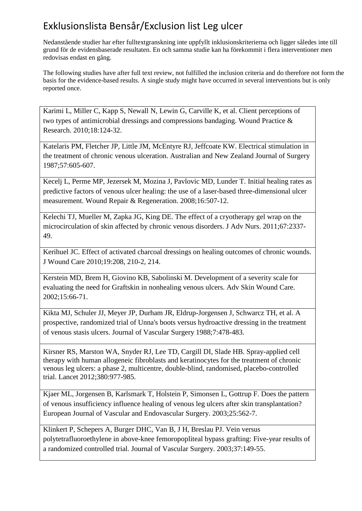Nedanstående studier har efter fulltextgranskning inte uppfyllt inklusionskriterierna och ligger således inte till grund för de evidensbaserade resultaten. En och samma studie kan ha förekommit i flera interventioner men redovisas endast en gång.

The following studies have after full text review, not fulfilled the inclusion criteria and do therefore not form the basis for the evidence-based results. A single study might have occurred in several interventions but is only reported once.

Karimi L, Miller C, Kapp S, Newall N, Lewin G, Carville K, et al. Client perceptions of two types of antimicrobial dressings and compressions bandaging. Wound Practice & Research. 2010;18:124-32.

Katelaris PM, Fletcher JP, Little JM, McEntyre RJ, Jeffcoate KW. Electrical stimulation in the treatment of chronic venous ulceration. Australian and New Zealand Journal of Surgery 1987;57:605-607.

Kecelj L, Perme MP, Jezersek M, Mozina J, Pavlovic MD, Lunder T. Initial healing rates as predictive factors of venous ulcer healing: the use of a laser-based three-dimensional ulcer measurement. Wound Repair & Regeneration. 2008;16:507-12.

Kelechi TJ, Mueller M, Zapka JG, King DE. The effect of a cryotherapy gel wrap on the microcirculation of skin affected by chronic venous disorders. J Adv Nurs. 2011;67:2337- 49.

Kerihuel JC. Effect of activated charcoal dressings on healing outcomes of chronic wounds. J Wound Care 2010;19:208, 210-2, 214.

Kerstein MD, Brem H, Giovino KB, Sabolinski M. Development of a severity scale for evaluating the need for Graftskin in nonhealing venous ulcers. Adv Skin Wound Care. 2002;15:66-71.

Kikta MJ, Schuler JJ, Meyer JP, Durham JR, Eldrup-Jorgensen J, Schwarcz TH, et al. A prospective, randomized trial of Unna's boots versus hydroactive dressing in the treatment of venous stasis ulcers. Journal of Vascular Surgery 1988;7:478-483.

Kirsner RS, Marston WA, Snyder RJ, Lee TD, Cargill DI, Slade HB. Spray-applied cell therapy with human allogeneic fibroblasts and keratinocytes for the treatment of chronic venous leg ulcers: a phase 2, multicentre, double-blind, randomised, placebo-controlled trial. Lancet 2012;380:977-985.

Kjaer ML, Jorgensen B, Karlsmark T, Holstein P, Simonsen L, Gottrup F. Does the pattern of venous insufficiency influence healing of venous leg ulcers after skin transplantation? European Journal of Vascular and Endovascular Surgery. 2003;25:562-7.

Klinkert P, Schepers A, Burger DHC, Van B, J H, Breslau PJ. Vein versus polytetrafluoroethylene in above-knee femoropopliteal bypass grafting: Five-year results of a randomized controlled trial. Journal of Vascular Surgery. 2003;37:149-55.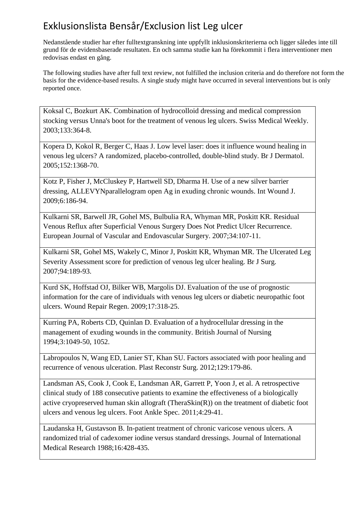Nedanstående studier har efter fulltextgranskning inte uppfyllt inklusionskriterierna och ligger således inte till grund för de evidensbaserade resultaten. En och samma studie kan ha förekommit i flera interventioner men redovisas endast en gång.

The following studies have after full text review, not fulfilled the inclusion criteria and do therefore not form the basis for the evidence-based results. A single study might have occurred in several interventions but is only reported once.

Koksal C, Bozkurt AK. Combination of hydrocolloid dressing and medical compression stocking versus Unna's boot for the treatment of venous leg ulcers. Swiss Medical Weekly. 2003;133:364-8.

Kopera D, Kokol R, Berger C, Haas J. Low level laser: does it influence wound healing in venous leg ulcers? A randomized, placebo-controlled, double-blind study. Br J Dermatol. 2005;152:1368-70.

Kotz P, Fisher J, McCluskey P, Hartwell SD, Dharma H. Use of a new silver barrier dressing, ALLEVYNparallelogram open Ag in exuding chronic wounds. Int Wound J. 2009;6:186-94.

Kulkarni SR, Barwell JR, Gohel MS, Bulbulia RA, Whyman MR, Poskitt KR. Residual Venous Reflux after Superficial Venous Surgery Does Not Predict Ulcer Recurrence. European Journal of Vascular and Endovascular Surgery. 2007;34:107-11.

Kulkarni SR, Gohel MS, Wakely C, Minor J, Poskitt KR, Whyman MR. The Ulcerated Leg Severity Assessment score for prediction of venous leg ulcer healing. Br J Surg. 2007;94:189-93.

Kurd SK, Hoffstad OJ, Bilker WB, Margolis DJ. Evaluation of the use of prognostic information for the care of individuals with venous leg ulcers or diabetic neuropathic foot ulcers. Wound Repair Regen. 2009;17:318-25.

Kurring PA, Roberts CD, Quinlan D. Evaluation of a hydrocellular dressing in the management of exuding wounds in the community. British Journal of Nursing 1994;3:1049-50, 1052.

Labropoulos N, Wang ED, Lanier ST, Khan SU. Factors associated with poor healing and recurrence of venous ulceration. Plast Reconstr Surg. 2012;129:179-86.

Landsman AS, Cook J, Cook E, Landsman AR, Garrett P, Yoon J, et al. A retrospective clinical study of 188 consecutive patients to examine the effectiveness of a biologically active cryopreserved human skin allograft (TheraSkin(R)) on the treatment of diabetic foot ulcers and venous leg ulcers. Foot Ankle Spec. 2011;4:29-41.

Laudanska H, Gustavson B. In-patient treatment of chronic varicose venous ulcers. A randomized trial of cadexomer iodine versus standard dressings. Journal of International Medical Research 1988;16:428-435.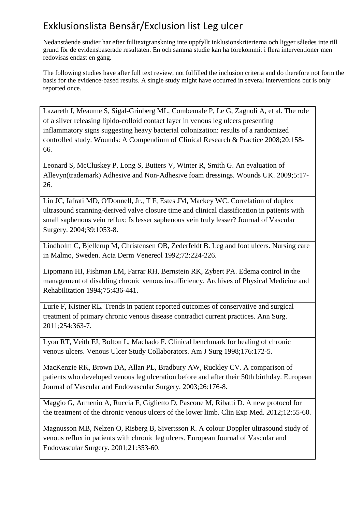Nedanstående studier har efter fulltextgranskning inte uppfyllt inklusionskriterierna och ligger således inte till grund för de evidensbaserade resultaten. En och samma studie kan ha förekommit i flera interventioner men redovisas endast en gång.

The following studies have after full text review, not fulfilled the inclusion criteria and do therefore not form the basis for the evidence-based results. A single study might have occurred in several interventions but is only reported once.

Lazareth I, Meaume S, Sigal-Grinberg ML, Combemale P, Le G, Zagnoli A, et al. The role of a silver releasing lipido-colloid contact layer in venous leg ulcers presenting inflammatory signs suggesting heavy bacterial colonization: results of a randomized controlled study. Wounds: A Compendium of Clinical Research & Practice 2008;20:158- 66.

Leonard S, McCluskey P, Long S, Butters V, Winter R, Smith G. An evaluation of Allevyn(trademark) Adhesive and Non-Adhesive foam dressings. Wounds UK. 2009;5:17- 26.

Lin JC, Iafrati MD, O'Donnell, Jr., T F, Estes JM, Mackey WC. Correlation of duplex ultrasound scanning-derived valve closure time and clinical classification in patients with small saphenous vein reflux: Is lesser saphenous vein truly lesser? Journal of Vascular Surgery. 2004;39:1053-8.

Lindholm C, Bjellerup M, Christensen OB, Zederfeldt B. Leg and foot ulcers. Nursing care in Malmo, Sweden. Acta Derm Venereol 1992;72:224-226.

Lippmann HI, Fishman LM, Farrar RH, Bernstein RK, Zybert PA. Edema control in the management of disabling chronic venous insufficiency. Archives of Physical Medicine and Rehabilitation 1994;75:436-441.

Lurie F, Kistner RL. Trends in patient reported outcomes of conservative and surgical treatment of primary chronic venous disease contradict current practices. Ann Surg. 2011;254:363-7.

Lyon RT, Veith FJ, Bolton L, Machado F. Clinical benchmark for healing of chronic venous ulcers. Venous Ulcer Study Collaborators. Am J Surg 1998;176:172-5.

MacKenzie RK, Brown DA, Allan PL, Bradbury AW, Ruckley CV. A comparison of patients who developed venous leg ulceration before and after their 50th birthday. European Journal of Vascular and Endovascular Surgery. 2003;26:176-8.

Maggio G, Armenio A, Ruccia F, Giglietto D, Pascone M, Ribatti D. A new protocol for the treatment of the chronic venous ulcers of the lower limb. Clin Exp Med. 2012;12:55-60.

Magnusson MB, Nelzen O, Risberg B, Sivertsson R. A colour Doppler ultrasound study of venous reflux in patients with chronic leg ulcers. European Journal of Vascular and Endovascular Surgery. 2001;21:353-60.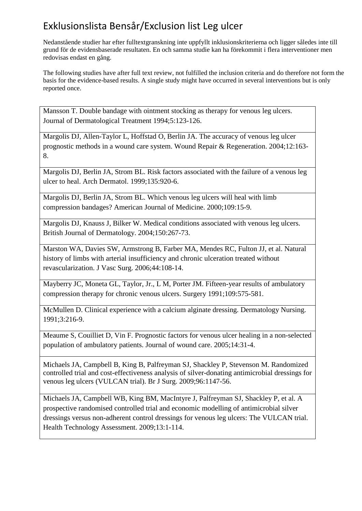Nedanstående studier har efter fulltextgranskning inte uppfyllt inklusionskriterierna och ligger således inte till grund för de evidensbaserade resultaten. En och samma studie kan ha förekommit i flera interventioner men redovisas endast en gång.

The following studies have after full text review, not fulfilled the inclusion criteria and do therefore not form the basis for the evidence-based results. A single study might have occurred in several interventions but is only reported once.

Mansson T. Double bandage with ointment stocking as therapy for venous leg ulcers. Journal of Dermatological Treatment 1994;5:123-126.

Margolis DJ, Allen-Taylor L, Hoffstad O, Berlin JA. The accuracy of venous leg ulcer prognostic methods in a wound care system. Wound Repair & Regeneration. 2004;12:163- 8.

Margolis DJ, Berlin JA, Strom BL. Risk factors associated with the failure of a venous leg ulcer to heal. Arch Dermatol. 1999;135:920-6.

Margolis DJ, Berlin JA, Strom BL. Which venous leg ulcers will heal with limb compression bandages? American Journal of Medicine. 2000;109:15-9.

Margolis DJ, Knauss J, Bilker W. Medical conditions associated with venous leg ulcers. British Journal of Dermatology. 2004;150:267-73.

Marston WA, Davies SW, Armstrong B, Farber MA, Mendes RC, Fulton JJ, et al. Natural history of limbs with arterial insufficiency and chronic ulceration treated without revascularization. J Vasc Surg. 2006;44:108-14.

Mayberry JC, Moneta GL, Taylor, Jr., L M, Porter JM. Fifteen-year results of ambulatory compression therapy for chronic venous ulcers. Surgery 1991;109:575-581.

McMullen D. Clinical experience with a calcium alginate dressing. Dermatology Nursing. 1991;3:216-9.

Meaume S, Couilliet D, Vin F. Prognostic factors for venous ulcer healing in a non-selected population of ambulatory patients. Journal of wound care. 2005;14:31-4.

Michaels JA, Campbell B, King B, Palfreyman SJ, Shackley P, Stevenson M. Randomized controlled trial and cost-effectiveness analysis of silver-donating antimicrobial dressings for venous leg ulcers (VULCAN trial). Br J Surg. 2009;96:1147-56.

Michaels JA, Campbell WB, King BM, MacIntyre J, Palfreyman SJ, Shackley P, et al. A prospective randomised controlled trial and economic modelling of antimicrobial silver dressings versus non-adherent control dressings for venous leg ulcers: The VULCAN trial. Health Technology Assessment. 2009;13:1-114.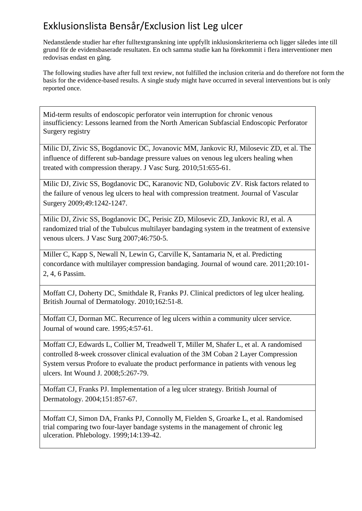Nedanstående studier har efter fulltextgranskning inte uppfyllt inklusionskriterierna och ligger således inte till grund för de evidensbaserade resultaten. En och samma studie kan ha förekommit i flera interventioner men redovisas endast en gång.

The following studies have after full text review, not fulfilled the inclusion criteria and do therefore not form the basis for the evidence-based results. A single study might have occurred in several interventions but is only reported once.

Mid-term results of endoscopic perforator vein interruption for chronic venous insufficiency: Lessons learned from the North American Subfascial Endoscopic Perforator Surgery registry

Milic DJ, Zivic SS, Bogdanovic DC, Jovanovic MM, Jankovic RJ, Milosevic ZD, et al. The influence of different sub-bandage pressure values on venous leg ulcers healing when treated with compression therapy. J Vasc Surg. 2010;51:655-61.

Milic DJ, Zivic SS, Bogdanovic DC, Karanovic ND, Golubovic ZV. Risk factors related to the failure of venous leg ulcers to heal with compression treatment. Journal of Vascular Surgery 2009;49:1242-1247.

Milic DJ, Zivic SS, Bogdanovic DC, Perisic ZD, Milosevic ZD, Jankovic RJ, et al. A randomized trial of the Tubulcus multilayer bandaging system in the treatment of extensive venous ulcers. J Vasc Surg 2007;46:750-5.

Miller C, Kapp S, Newall N, Lewin G, Carville K, Santamaria N, et al. Predicting concordance with multilayer compression bandaging. Journal of wound care. 2011;20:101- 2, 4, 6 Passim.

Moffatt CJ, Doherty DC, Smithdale R, Franks PJ. Clinical predictors of leg ulcer healing. British Journal of Dermatology. 2010;162:51-8.

Moffatt CJ, Dorman MC. Recurrence of leg ulcers within a community ulcer service. Journal of wound care. 1995;4:57-61.

Moffatt CJ, Edwards L, Collier M, Treadwell T, Miller M, Shafer L, et al. A randomised controlled 8-week crossover clinical evaluation of the 3M Coban 2 Layer Compression System versus Profore to evaluate the product performance in patients with venous leg ulcers. Int Wound J. 2008;5:267-79.

Moffatt CJ, Franks PJ. Implementation of a leg ulcer strategy. British Journal of Dermatology. 2004;151:857-67.

Moffatt CJ, Simon DA, Franks PJ, Connolly M, Fielden S, Groarke L, et al. Randomised trial comparing two four-layer bandage systems in the management of chronic leg ulceration. Phlebology. 1999;14:139-42.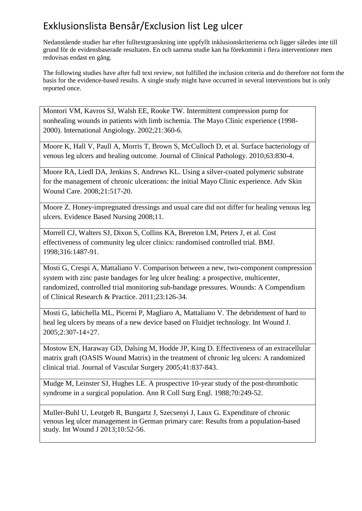Nedanstående studier har efter fulltextgranskning inte uppfyllt inklusionskriterierna och ligger således inte till grund för de evidensbaserade resultaten. En och samma studie kan ha förekommit i flera interventioner men redovisas endast en gång.

The following studies have after full text review, not fulfilled the inclusion criteria and do therefore not form the basis for the evidence-based results. A single study might have occurred in several interventions but is only reported once.

Montori VM, Kavros SJ, Walsh EE, Rooke TW. Intermittent compression pump for nonhealing wounds in patients with limb ischemia. The Mayo Clinic experience (1998- 2000). International Angiology. 2002;21:360-6.

Moore K, Hall V, Paull A, Morris T, Brown S, McCulloch D, et al. Surface bacteriology of venous leg ulcers and healing outcome. Journal of Clinical Pathology. 2010;63:830-4.

Moore RA, Liedl DA, Jenkins S, Andrews KL. Using a silver-coated polymeric substrate for the management of chronic ulcerations: the initial Mayo Clinic experience. Adv Skin Wound Care. 2008;21:517-20.

Moore Z. Honey-impregnated dressings and usual care did not differ for healing venous leg ulcers. Evidence Based Nursing 2008;11.

Morrell CJ, Walters SJ, Dixon S, Collins KA, Brereton LM, Peters J, et al. Cost effectiveness of community leg ulcer clinics: randomised controlled trial. BMJ. 1998;316:1487-91.

Mosti G, Crespi A, Mattaliano V. Comparison between a new, two-component compression system with zinc paste bandages for leg ulcer healing: a prospective, multicenter, randomized, controlled trial monitoring sub-bandage pressures. Wounds: A Compendium of Clinical Research & Practice. 2011;23:126-34.

Mosti G, Iabichella ML, Picerni P, Magliaro A, Mattaliano V. The debridement of hard to heal leg ulcers by means of a new device based on Fluidjet technology. Int Wound J. 2005;2:307-14+27.

Mostow EN, Haraway GD, Dalsing M, Hodde JP, King D. Effectiveness of an extracellular matrix graft (OASIS Wound Matrix) in the treatment of chronic leg ulcers: A randomized clinical trial. Journal of Vascular Surgery 2005;41:837-843.

Mudge M, Leinster SJ, Hughes LE. A prospective 10-year study of the post-thrombotic syndrome in a surgical population. Ann R Coll Surg Engl. 1988;70:249-52.

Muller-Buhl U, Leutgeb R, Bungartz J, Szecsenyi J, Laux G. Expenditure of chronic venous leg ulcer management in German primary care: Results from a population-based study. Int Wound J 2013;10:52-56.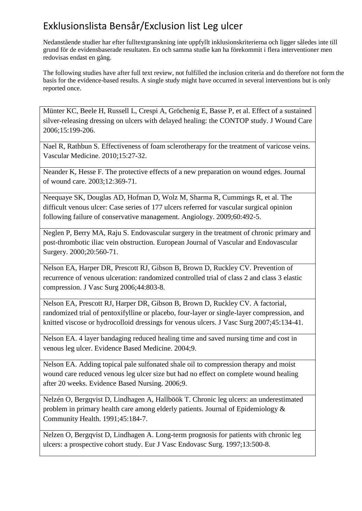Nedanstående studier har efter fulltextgranskning inte uppfyllt inklusionskriterierna och ligger således inte till grund för de evidensbaserade resultaten. En och samma studie kan ha förekommit i flera interventioner men redovisas endast en gång.

The following studies have after full text review, not fulfilled the inclusion criteria and do therefore not form the basis for the evidence-based results. A single study might have occurred in several interventions but is only reported once.

Münter KC, Beele H, Russell L, Crespi A, Gröchenig E, Basse P, et al. Effect of a sustained silver-releasing dressing on ulcers with delayed healing: the CONTOP study. J Wound Care 2006;15:199-206.

Nael R, Rathbun S. Effectiveness of foam sclerotherapy for the treatment of varicose veins. Vascular Medicine. 2010;15:27-32.

Neander K, Hesse F. The protective effects of a new preparation on wound edges. Journal of wound care. 2003;12:369-71.

Neequaye SK, Douglas AD, Hofman D, Wolz M, Sharma R, Cummings R, et al. The difficult venous ulcer: Case series of 177 ulcers referred for vascular surgical opinion following failure of conservative management. Angiology. 2009;60:492-5.

Neglen P, Berry MA, Raju S. Endovascular surgery in the treatment of chronic primary and post-thrombotic iliac vein obstruction. European Journal of Vascular and Endovascular Surgery. 2000;20:560-71.

Nelson EA, Harper DR, Prescott RJ, Gibson B, Brown D, Ruckley CV. Prevention of recurrence of venous ulceration: randomized controlled trial of class 2 and class 3 elastic compression. J Vasc Surg 2006;44:803-8.

Nelson EA, Prescott RJ, Harper DR, Gibson B, Brown D, Ruckley CV. A factorial, randomized trial of pentoxifylline or placebo, four-layer or single-layer compression, and knitted viscose or hydrocolloid dressings for venous ulcers. J Vasc Surg 2007;45:134-41.

Nelson EA. 4 layer bandaging reduced healing time and saved nursing time and cost in venous leg ulcer. Evidence Based Medicine. 2004;9.

Nelson EA. Adding topical pale sulfonated shale oil to compression therapy and moist wound care reduced venous leg ulcer size but had no effect on complete wound healing after 20 weeks. Evidence Based Nursing. 2006;9.

Nelzén O, Bergqvist D, Lindhagen A, Hallböök T. Chronic leg ulcers: an underestimated problem in primary health care among elderly patients. Journal of Epidemiology & Community Health. 1991;45:184-7.

Nelzen O, Bergqvist D, Lindhagen A. Long-term prognosis for patients with chronic leg ulcers: a prospective cohort study. Eur J Vasc Endovasc Surg. 1997;13:500-8.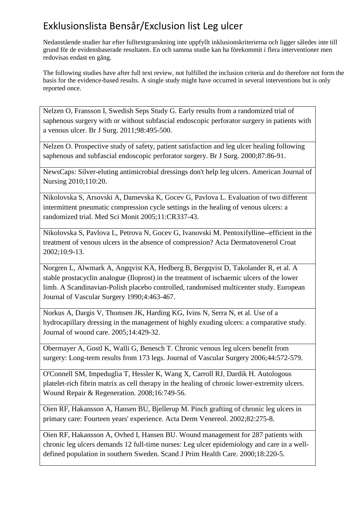Nedanstående studier har efter fulltextgranskning inte uppfyllt inklusionskriterierna och ligger således inte till grund för de evidensbaserade resultaten. En och samma studie kan ha förekommit i flera interventioner men redovisas endast en gång.

The following studies have after full text review, not fulfilled the inclusion criteria and do therefore not form the basis for the evidence-based results. A single study might have occurred in several interventions but is only reported once.

Nelzen O, Fransson I, Swedish Seps Study G. Early results from a randomized trial of saphenous surgery with or without subfascial endoscopic perforator surgery in patients with a venous ulcer. Br J Surg. 2011;98:495-500.

Nelzen O. Prospective study of safety, patient satisfaction and leg ulcer healing following saphenous and subfascial endoscopic perforator surgery. Br J Surg. 2000;87:86-91.

NewsCaps: Silver-eluting antimicrobial dressings don't help leg ulcers. American Journal of Nursing 2010;110:20.

Nikolovska S, Arsovski A, Damevska K, Gocev G, Pavlova L. Evaluation of two different intermittent pneumatic compression cycle settings in the healing of venous ulcers: a randomized trial. Med Sci Monit 2005;11:CR337-43.

Nikolovska S, Pavlova L, Petrova N, Gocev G, Ivanovski M. Pentoxifylline--efficient in the treatment of venous ulcers in the absence of compression? Acta Dermatovenerol Croat 2002;10:9-13.

Norgren L, Alwmark A, Angqvist KA, Hedberg B, Bergqvist D, Takolander R, et al. A stable prostacyclin analogue (Iloprost) in the treatment of ischaemic ulcers of the lower limb. A Scandinavian-Polish placebo controlled, randomised multicenter study. European Journal of Vascular Surgery 1990;4:463-467.

Norkus A, Dargis V, Thomsen JK, Harding KG, Ivins N, Serra N, et al. Use of a hydrocapillary dressing in the management of highly exuding ulcers: a comparative study. Journal of wound care. 2005;14:429-32.

Obermayer A, Gostl K, Walli G, Benesch T. Chronic venous leg ulcers benefit from surgery: Long-term results from 173 legs. Journal of Vascular Surgery 2006;44:572-579.

O'Connell SM, Impeduglia T, Hessler K, Wang X, Carroll RJ, Dardik H. Autologous platelet-rich fibrin matrix as cell therapy in the healing of chronic lower-extremity ulcers. Wound Repair & Regeneration. 2008;16:749-56.

Oien RF, Hakansson A, Hansen BU, Bjellerup M. Pinch grafting of chronic leg ulcers in primary care: Fourteen years' experience. Acta Derm Venereol. 2002;82:275-8.

Oien RF, Hakansson A, Ovhed I, Hansen BU. Wound management for 287 patients with chronic leg ulcers demands 12 full-time nurses: Leg ulcer epidemiology and care in a welldefined population in southern Sweden. Scand J Prim Health Care. 2000;18:220-5.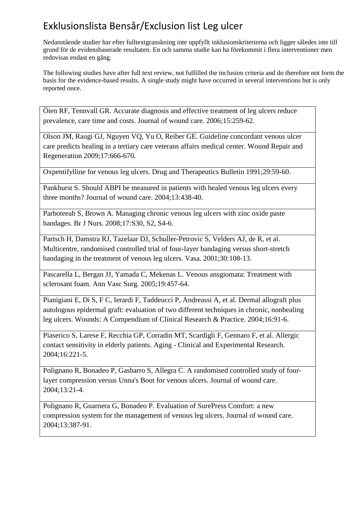Nedanstående studier har efter fulltextgranskning inte uppfyllt inklusionskriterierna och ligger således inte till grund för de evidensbaserade resultaten. En och samma studie kan ha förekommit i flera interventioner men redovisas endast en gång.

The following studies have after full text review, not fulfilled the inclusion criteria and do therefore not form the basis for the evidence-based results. A single study might have occurred in several interventions but is only reported once.

Öien RF, Tennvall GR. Accurate diagnosis and effective treatment of leg ulcers reduce prevalence, care time and costs. Journal of wound care. 2006;15:259-62.

Olson JM, Raugi GJ, Nguyen VQ, Yu O, Reiber GE. Guideline concordant venous ulcer care predicts healing in a tertiary care veterans affairs medical center. Wound Repair and Regeneration 2009;17:666-670.

Oxpentifylline for venous leg ulcers. Drug and Therapeutics Bulletin 1991;29:59-60.

Pankhurst S. Should ABPI be measured in patients with healed venous leg ulcers every three months? Journal of wound care. 2004;13:438-40.

Parboteeah S, Brown A. Managing chronic venous leg ulcers with zinc oxide paste bandages. Br J Nurs. 2008;17:S30, S2, S4-6.

Partsch H, Damstra RJ, Tazelaar DJ, Schuller-Petrovic S, Velders AJ, de R, et al. Multicentre, randomised controlled trial of four-layer bandaging versus short-stretch bandaging in the treatment of venous leg ulcers. Vasa. 2001;30:108-13.

Pascarella L, Bergan JJ, Yamada C, Mekenas L. Venous ansgiomata: Treatment with sclerosant foam. Ann Vasc Surg. 2005;19:457-64.

Pianigiani E, Di S, F C, Ierardi F, Taddeucci P, Andreassi A, et al. Dermal allograft plus autologous epidermal graft: evaluation of two different techniques in chronic, nonhealing leg ulcers. Wounds: A Compendium of Clinical Research & Practice. 2004;16:91-6.

Piaserico S, Larese F, Recchia GP, Corradin MT, Scardigli F, Gennaro F, et al. Allergic contact sensitivity in elderly patients. Aging - Clinical and Experimental Research. 2004;16:221-5.

Polignano R, Bonadeo P, Gasbarro S, Allegra C. A randomised controlled study of fourlayer compression versus Unna's Boot for venous ulcers. Journal of wound care. 2004;13:21-4.

Polignano R, Guarnera G, Bonadeo P. Evaluation of SurePress Comfort: a new compression system for the management of venous leg ulcers. Journal of wound care. 2004;13:387-91.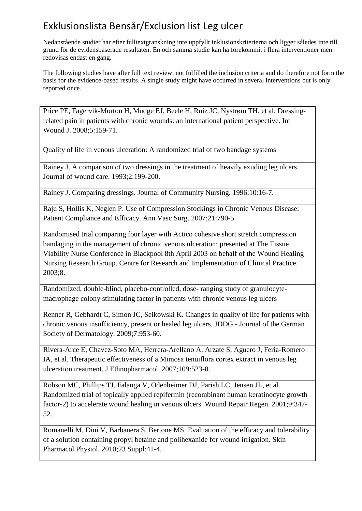Nedanstående studier har efter fulltextgranskning inte uppfyllt inklusionskriterierna och ligger således inte till grund för de evidensbaserade resultaten. En och samma studie kan ha förekommit i flera interventioner men redovisas endast en gång.

The following studies have after full text review, not fulfilled the inclusion criteria and do therefore not form the basis for the evidence-based results. A single study might have occurred in several interventions but is only reported once.

Price PE, Fagervik-Morton H, Mudge EJ, Beele H, Ruiz JC, Nystrøm TH, et al. Dressingrelated pain in patients with chronic wounds: an international patient perspective. Int Wound J. 2008;5:159-71.

Quality of life in venous ulceration: A randomized trial of two bandage systems

Rainey J. A comparison of two dressings in the treatment of heavily exuding leg ulcers. Journal of wound care. 1993;2:199-200.

Rainey J. Comparing dressings. Journal of Community Nursing. 1996;10:16-7.

Raju S, Hollis K, Neglen P. Use of Compression Stockings in Chronic Venous Disease: Patient Compliance and Efficacy. Ann Vasc Surg. 2007;21:790-5.

Randomised trial comparing four layer with Actico cohesive short stretch compression bandaging in the management of chronic venous ulceration: presented at The Tissue Viability Nurse Conference in Blackpool 8th April 2003 on behalf of the Wound Healing Nursing Research Group. Centre for Research and Implementation of Clinical Practice. 2003;8.

Randomized, double-blind, placebo-controlled, dose- ranging study of granulocytemacrophage colony stimulating factor in patients with chronic venous leg ulcers

Renner R, Gebhardt C, Simon JC, Seikowski K. Changes in quality of life for patients with chronic venous insufficiency, present or healed leg ulcers. JDDG - Journal of the German Society of Dermatology. 2009;7:953-60.

Rivera-Arce E, Chavez-Soto MA, Herrera-Arellano A, Arzate S, Aguero J, Feria-Romero IA, et al. Therapeutic effectiveness of a Mimosa tenuiflora cortex extract in venous leg ulceration treatment. J Ethnopharmacol. 2007;109:523-8.

Robson MC, Phillips TJ, Falanga V, Odenheimer DJ, Parish LC, Jensen JL, et al. Randomized trial of topically applied repifermin (recombinant human keratinocyte growth factor-2) to accelerate wound healing in venous ulcers. Wound Repair Regen. 2001;9:347- 52.

Romanelli M, Dini V, Barbanera S, Bertone MS. Evaluation of the efficacy and tolerability of a solution containing propyl betaine and polihexanide for wound irrigation. Skin Pharmacol Physiol. 2010;23 Suppl:41-4.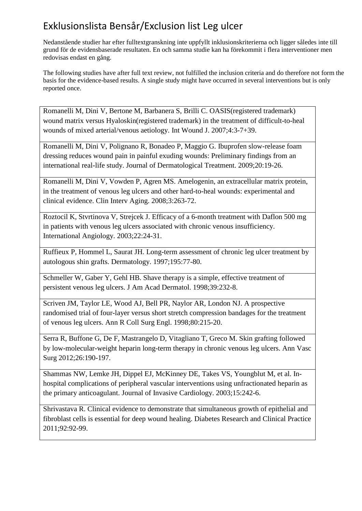Nedanstående studier har efter fulltextgranskning inte uppfyllt inklusionskriterierna och ligger således inte till grund för de evidensbaserade resultaten. En och samma studie kan ha förekommit i flera interventioner men redovisas endast en gång.

The following studies have after full text review, not fulfilled the inclusion criteria and do therefore not form the basis for the evidence-based results. A single study might have occurred in several interventions but is only reported once.

Romanelli M, Dini V, Bertone M, Barbanera S, Brilli C. OASIS(registered trademark) wound matrix versus Hyaloskin(registered trademark) in the treatment of difficult-to-heal wounds of mixed arterial/venous aetiology. Int Wound J. 2007;4:3-7+39.

Romanelli M, Dini V, Polignano R, Bonadeo P, Maggio G. Ibuprofen slow-release foam dressing reduces wound pain in painful exuding wounds: Preliminary findings from an international real-life study. Journal of Dermatological Treatment. 2009;20:19-26.

Romanelli M, Dini V, Vowden P, Agren MS. Amelogenin, an extracellular matrix protein, in the treatment of venous leg ulcers and other hard-to-heal wounds: experimental and clinical evidence. Clin Interv Aging. 2008;3:263-72.

Roztocil K, Stvrtinova V, Strejcek J. Efficacy of a 6-month treatment with Daflon 500 mg in patients with venous leg ulcers associated with chronic venous insufficiency. International Angiology. 2003;22:24-31.

Ruffieux P, Hommel L, Saurat JH. Long-term assessment of chronic leg ulcer treatment by autologous shin grafts. Dermatology. 1997;195:77-80.

Schmeller W, Gaber Y, Gehl HB. Shave therapy is a simple, effective treatment of persistent venous leg ulcers. J Am Acad Dermatol. 1998;39:232-8.

Scriven JM, Taylor LE, Wood AJ, Bell PR, Naylor AR, London NJ. A prospective randomised trial of four-layer versus short stretch compression bandages for the treatment of venous leg ulcers. Ann R Coll Surg Engl. 1998;80:215-20.

Serra R, Buffone G, De F, Mastrangelo D, Vitagliano T, Greco M. Skin grafting followed by low-molecular-weight heparin long-term therapy in chronic venous leg ulcers. Ann Vasc Surg 2012;26:190-197.

Shammas NW, Lemke JH, Dippel EJ, McKinney DE, Takes VS, Youngblut M, et al. Inhospital complications of peripheral vascular interventions using unfractionated heparin as the primary anticoagulant. Journal of Invasive Cardiology. 2003;15:242-6.

Shrivastava R. Clinical evidence to demonstrate that simultaneous growth of epithelial and fibroblast cells is essential for deep wound healing. Diabetes Research and Clinical Practice 2011;92:92-99.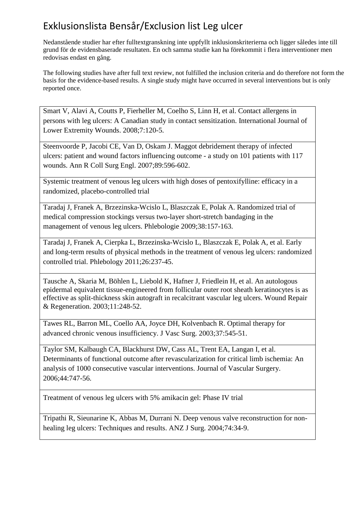Nedanstående studier har efter fulltextgranskning inte uppfyllt inklusionskriterierna och ligger således inte till grund för de evidensbaserade resultaten. En och samma studie kan ha förekommit i flera interventioner men redovisas endast en gång.

The following studies have after full text review, not fulfilled the inclusion criteria and do therefore not form the basis for the evidence-based results. A single study might have occurred in several interventions but is only reported once.

Smart V, Alavi A, Coutts P, Fierheller M, Coelho S, Linn H, et al. Contact allergens in persons with leg ulcers: A Canadian study in contact sensitization. International Journal of Lower Extremity Wounds. 2008;7:120-5.

Steenvoorde P, Jacobi CE, Van D, Oskam J. Maggot debridement therapy of infected ulcers: patient and wound factors influencing outcome - a study on 101 patients with 117 wounds. Ann R Coll Surg Engl. 2007;89:596-602.

Systemic treatment of venous leg ulcers with high doses of pentoxifylline: efficacy in a randomized, placebo-controlled trial

Taradaj J, Franek A, Brzezinska-Wcislo L, Blaszczak E, Polak A. Randomized trial of medical compression stockings versus two-layer short-stretch bandaging in the management of venous leg ulcers. Phlebologie 2009;38:157-163.

Taradaj J, Franek A, Cierpka L, Brzezinska-Wcislo L, Blaszczak E, Polak A, et al. Early and long-term results of physical methods in the treatment of venous leg ulcers: randomized controlled trial. Phlebology 2011;26:237-45.

Tausche A, Skaria M, Böhlen L, Liebold K, Hafner J, Friedlein H, et al. An autologous epidermal equivalent tissue-engineered from follicular outer root sheath keratinocytes is as effective as split-thickness skin autograft in recalcitrant vascular leg ulcers. Wound Repair & Regeneration. 2003;11:248-52.

Tawes RL, Barron ML, Coello AA, Joyce DH, Kolvenbach R. Optimal therapy for advanced chronic venous insufficiency. J Vasc Surg. 2003;37:545-51.

Taylor SM, Kalbaugh CA, Blackhurst DW, Cass AL, Trent EA, Langan I, et al. Determinants of functional outcome after revascularization for critical limb ischemia: An analysis of 1000 consecutive vascular interventions. Journal of Vascular Surgery. 2006;44:747-56.

Treatment of venous leg ulcers with 5% amikacin gel: Phase IV trial

Tripathi R, Sieunarine K, Abbas M, Durrani N. Deep venous valve reconstruction for nonhealing leg ulcers: Techniques and results. ANZ J Surg. 2004;74:34-9.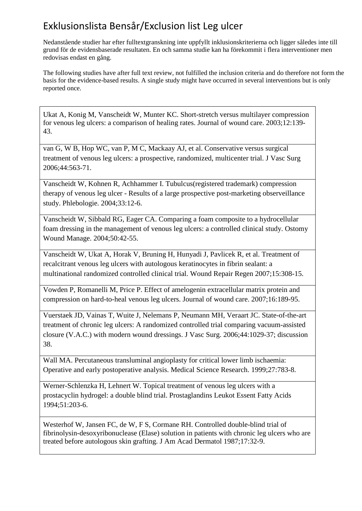Nedanstående studier har efter fulltextgranskning inte uppfyllt inklusionskriterierna och ligger således inte till grund för de evidensbaserade resultaten. En och samma studie kan ha förekommit i flera interventioner men redovisas endast en gång.

The following studies have after full text review, not fulfilled the inclusion criteria and do therefore not form the basis for the evidence-based results. A single study might have occurred in several interventions but is only reported once.

Ukat A, Konig M, Vanscheidt W, Munter KC. Short-stretch versus multilayer compression for venous leg ulcers: a comparison of healing rates. Journal of wound care. 2003;12:139- 43.

van G, W B, Hop WC, van P, M C, Mackaay AJ, et al. Conservative versus surgical treatment of venous leg ulcers: a prospective, randomized, multicenter trial. J Vasc Surg 2006;44:563-71.

Vanscheidt W, Kohnen R, Achhammer I. Tubulcus(registered trademark) compression therapy of venous leg ulcer - Results of a large prospective post-marketing observeillance study. Phlebologie. 2004;33:12-6.

Vanscheidt W, Sibbald RG, Eager CA. Comparing a foam composite to a hydrocellular foam dressing in the management of venous leg ulcers: a controlled clinical study. Ostomy Wound Manage. 2004;50:42-55.

Vanscheidt W, Ukat A, Horak V, Bruning H, Hunyadi J, Pavlicek R, et al. Treatment of recalcitrant venous leg ulcers with autologous keratinocytes in fibrin sealant: a multinational randomized controlled clinical trial. Wound Repair Regen 2007;15:308-15.

Vowden P, Romanelli M, Price P. Effect of amelogenin extracellular matrix protein and compression on hard-to-heal venous leg ulcers. Journal of wound care. 2007;16:189-95.

Vuerstaek JD, Vainas T, Wuite J, Nelemans P, Neumann MH, Veraart JC. State-of-the-art treatment of chronic leg ulcers: A randomized controlled trial comparing vacuum-assisted closure (V.A.C.) with modern wound dressings. J Vasc Surg. 2006;44:1029-37; discussion 38.

Wall MA. Percutaneous transluminal angioplasty for critical lower limb ischaemia: Operative and early postoperative analysis. Medical Science Research. 1999;27:783-8.

Werner-Schlenzka H, Lehnert W. Topical treatment of venous leg ulcers with a prostacyclin hydrogel: a double blind trial. Prostaglandins Leukot Essent Fatty Acids 1994;51:203-6.

Westerhof W, Jansen FC, de W, F S, Cormane RH. Controlled double-blind trial of fibrinolysin-desoxyribonuclease (Elase) solution in patients with chronic leg ulcers who are treated before autologous skin grafting. J Am Acad Dermatol 1987;17:32-9.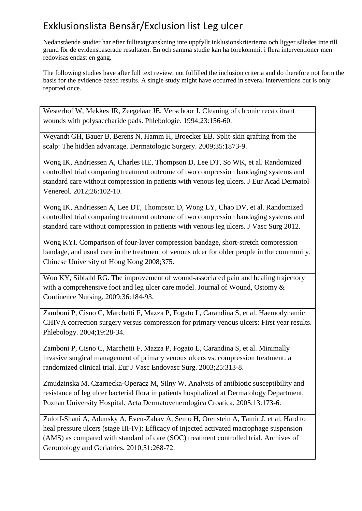Nedanstående studier har efter fulltextgranskning inte uppfyllt inklusionskriterierna och ligger således inte till grund för de evidensbaserade resultaten. En och samma studie kan ha förekommit i flera interventioner men redovisas endast en gång.

The following studies have after full text review, not fulfilled the inclusion criteria and do therefore not form the basis for the evidence-based results. A single study might have occurred in several interventions but is only reported once.

Westerhof W, Mekkes JR, Zeegelaar JE, Verschoor J. Cleaning of chronic recalcitrant wounds with polysaccharide pads. Phlebologie. 1994;23:156-60.

Weyandt GH, Bauer B, Berens N, Hamm H, Broecker EB. Split-skin grafting from the scalp: The hidden advantage. Dermatologic Surgery. 2009;35:1873-9.

Wong IK, Andriessen A, Charles HE, Thompson D, Lee DT, So WK, et al. Randomized controlled trial comparing treatment outcome of two compression bandaging systems and standard care without compression in patients with venous leg ulcers. J Eur Acad Dermatol Venereol. 2012;26:102-10.

Wong IK, Andriessen A, Lee DT, Thompson D, Wong LY, Chao DV, et al. Randomized controlled trial comparing treatment outcome of two compression bandaging systems and standard care without compression in patients with venous leg ulcers. J Vasc Surg 2012.

Wong KYI. Comparison of four-layer compression bandage, short-stretch compression bandage, and usual care in the treatment of venous ulcer for older people in the community. Chinese University of Hong Kong 2008;375.

Woo KY, Sibbald RG. The improvement of wound-associated pain and healing trajectory with a comprehensive foot and leg ulcer care model. Journal of Wound, Ostomy & Continence Nursing. 2009;36:184-93.

Zamboni P, Cisno C, Marchetti F, Mazza P, Fogato L, Carandina S, et al. Haemodynamic CHIVA correction surgery versus compression for primary venous ulcers: First year results. Phlebology. 2004;19:28-34.

Zamboni P, Cisno C, Marchetti F, Mazza P, Fogato L, Carandina S, et al. Minimally invasive surgical management of primary venous ulcers vs. compression treatment: a randomized clinical trial. Eur J Vasc Endovasc Surg. 2003;25:313-8.

Zmudzinska M, Czarnecka-Operacz M, Silny W. Analysis of antibiotic susceptibility and resistance of leg ulcer bacterial flora in patients hospitalized at Dermatology Department, Poznan University Hospital. Acta Dermatovenerologica Croatica. 2005;13:173-6.

Zuloff-Shani A, Adunsky A, Even-Zahav A, Semo H, Orenstein A, Tamir J, et al. Hard to heal pressure ulcers (stage III-IV): Efficacy of injected activated macrophage suspension (AMS) as compared with standard of care (SOC) treatment controlled trial. Archives of Gerontology and Geriatrics. 2010;51:268-72.